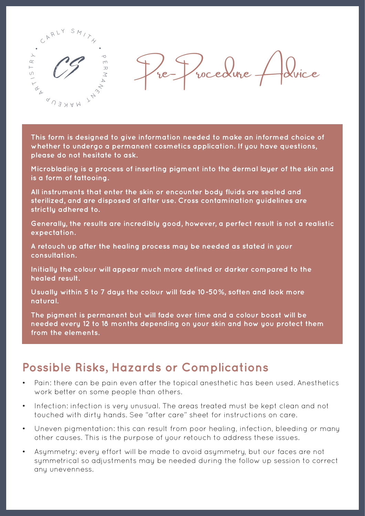

**This form is designed to give information needed to make an informed choice of whether to undergo a permanent cosmetics application. If you have questions, please do not hesitate to ask.**

**Microblading is a process of inserting pigment into the dermal layer of the skin and is a form of tattooing.**

**All instruments that enter the skin or encounter body fluids are sealed and sterilized, and are disposed of after use. Cross contamination guidelines are strictly adhered to.**

**Generally, the results are incredibly good, however, a perfect result is not a realistic expectation.**

**A retouch up after the healing process may be needed as stated in your consultation.**

**Initially the colour will appear much more defined or darker compared to the healed result.**

**Usually within 5 to 7 days the colour will fade 10-50%, soften and look more natural.**

**The pigment is permanent but will fade over time and a colour boost will be needed every 12 to 18 months depending on your skin and how you protect them from the elements.**

### **Possible Risks, Hazards or Complications**

- Pain: there can be pain even after the topical anesthetic has been used. Anesthetics work better on some people than others.
- Infection: infection is very unusual. The areas treated must be kept clean and not touched with dirty hands. See "after care" sheet for instructions on care.
- Uneven pigmentation: this can result from poor healing, infection, bleeding or many other causes. This is the purpose of your retouch to address these issues.
- Asymmetry: every effort will be made to avoid asymmetry, but our faces are not symmetrical so adjustments may be needed during the follow up session to correct any unevenness.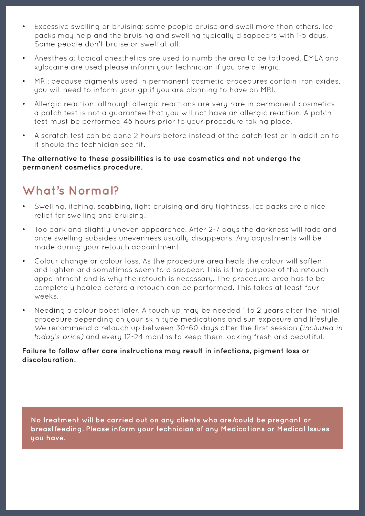- Excessive swelling or bruising: some people bruise and swell more than others. Ice packs may help and the bruising and swelling typically disappears with 1-5 days. Some people don't bruise or swell at all.
- Anesthesia: topical anesthetics are used to numb the area to be tattooed. EMLA and xylocaine are used please inform your technician if you are allergic.
- MRI: because pigments used in permanent cosmetic procedures contain iron oxides, you will need to inform your gp if you are planning to have an MRI.
- Allergic reaction: although allergic reactions are very rare in permanent cosmetics a patch test is not a guarantee that you will not have an allergic reaction. A patch test must be performed 48 hours prior to your procedure taking place.
- A scratch test can be done 2 hours before instead of the patch test or in addition to it should the technician see fit.

### **The alternative to these possibilities is to use cosmetics and not undergo the permanent cosmetics procedure.**

## **What's Normal?**

- Swelling, itching, scabbing, light bruising and dry tightness. Ice packs are a nice relief for swelling and bruising.
- Too dark and slightly uneven appearance. After 2-7 days the darkness will fade and once swelling subsides unevenness usually disappears. Any adjustments will be made during your retouch appointment.
- Colour change or colour loss. As the procedure area heals the colour will soften and lighten and sometimes seem to disappear. This is the purpose of the retouch appointment and is why the retouch is necessary. The procedure area has to be completely healed before a retouch can be performed. This takes at least four weeks.
- Needing a colour boost later. A touch up may be needed 1 to 2 years after the initial procedure depending on your skin type medications and sun exposure and lifestyle. We recommend a retouch up between 30-60 days after the first session *(included in today's price)* and every 12-24 months to keep them looking fresh and beautiful.

### **Failure to follow after care instructions may result in infections, pigment loss or discolouration.**

**No treatment will be carried out on any clients who are/could be pregnant or breastfeeding. Please inform your technician of any Medications or Medical Issues you have.**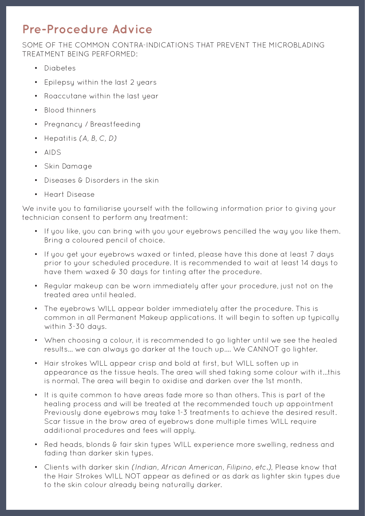# **Pre-Procedure Advice**

SOME OF THE COMMON CONTRA-INDICATIONS THAT PREVENT THE MICROBLADING TREATMENT BEING PERFORMED:

- Diabetes
- Epilepsy within the last 2 years
- Roaccutane within the last year
- Blood thinners
- Pregnancy / Breastfeeding
- Hepatitis *(A, B, C, D)*
- AIDS
- Skin Damage
- Diseases & Disorders in the skin
- Heart Disease

We invite you to familiarise yourself with the following information prior to giving your technician consent to perform any treatment:

- If you like, you can bring with you your eyebrows pencilled the way you like them. Bring a coloured pencil of choice.
- If you get your eyebrows waxed or tinted, please have this done at least 7 days prior to your scheduled procedure. It is recommended to wait at least 14 days to have them waxed & 30 days for tinting after the procedure.
- Regular makeup can be worn immediately after your procedure, just not on the treated area until healed.
- The eyebrows WILL appear bolder immediately after the procedure. This is common in all Permanent Makeup applications. It will begin to soften up typically within 3-30 days.
- When choosing a colour, it is recommended to go lighter until we see the healed results... we can always go darker at the touch up.... We CANNOT go lighter.
- Hair strokes WILL appear crisp and bold at first, but WILL soften up in appearance as the tissue heals. The area will shed taking some colour with it...this is normal. The area will begin to oxidise and darken over the 1st month.
- It is quite common to have areas fade more so than others. This is part of the healing process and will be treated at the recommended touch up appointment Previously done eyebrows may take 1-3 treatments to achieve the desired result. Scar tissue in the brow area of eyebrows done multiple times WILL require additional procedures and fees will apply.
- Red heads, blonds & fair skin types WILL experience more swelling, redness and fading than darker skin types.
- Clients with darker skin *(Indian, African American, Filipino, etc.)*, Please know that the Hair Strokes WILL NOT appear as defined or as dark as lighter skin tupes due to the skin colour already being naturally darker.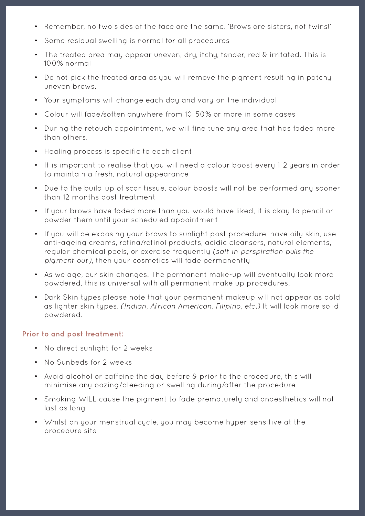- Remember, no two sides of the face are the same. 'Brows are sisters, not twins!'
- Some residual swelling is normal for all procedures
- The treated area may appear uneven, dry, itchy, tender, red & irritated. This is 100% normal
- Do not pick the treated area as you will remove the pigment resulting in patchy uneven brows.
- Your symptoms will change each day and vary on the individual
- Colour will fade/soften anuwhere from 10-50% or more in some cases
- During the retouch appointment, we will fine tune any area that has faded more than others.
- Healing process is specific to each client
- It is important to realise that you will need a colour boost every 1-2 years in order to maintain a fresh, natural appearance
- Due to the build-up of scar tissue, colour boosts will not be performed any sooner than 12 months post treatment
- If your brows have faded more than you would have liked, it is okay to pencil or powder them until your scheduled appointment
- If you will be exposing your brows to sunlight post procedure, have oily skin, use anti-ageing creams, retina/retinol products, acidic cleansers, natural elements, regular chemical peels, or exercise frequently *(salt in perspiration pulls the pigment out)*, then your cosmetics will fade permanently
- As we age, our skin changes. The permanent make-up will eventually look more powdered, this is universal with all permanent make up procedures.
- Dark Skin types please note that your permanent makeup will not appear as bold as lighter skin types. *(Indian, African American, Filipino, etc.)* It will look more solid powdered.

#### **Prior to and post treatment:**

- No direct sunlight for 2 weeks
- No Sunbeds for 2 weeks
- Avoid alcohol or caffeine the day before & prior to the procedure, this will minimise any oozing/bleeding or swelling during/after the procedure
- Smoking WILL cause the pigment to fade prematurely and anaesthetics will not last as long
- Whilst on your menstrual cycle, you may become hyper-sensitive at the procedure site